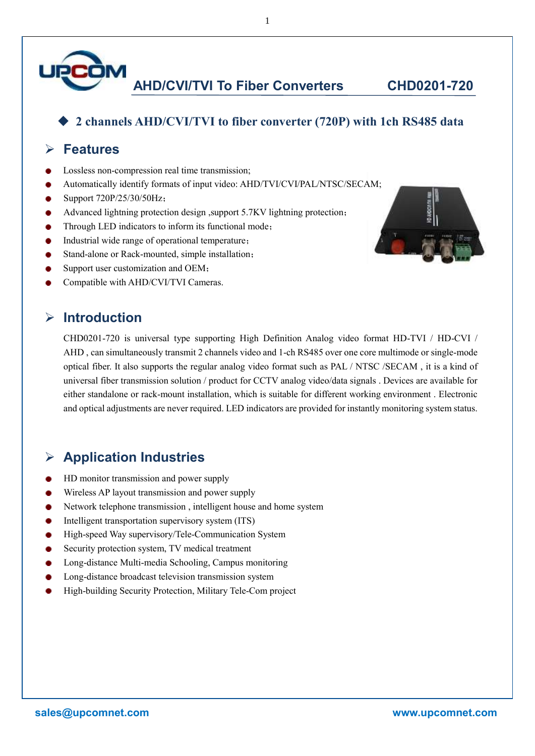

**AHD/CVI/TVI To Fiber Converters CHD0201-720**

#### ◆ **2 channels AHD/CVI/TVI to fiber converter (720P) with 1ch RS485 data**

### ➢ **Features**

- Lossless non-compression real time transmission;
- Automatically identify formats of input video: AHD/TVI/CVI/PAL/NTSC/SECAM;
- Support 720P/25/30/50Hz;
- Advanced lightning protection design ,support 5.7KV lightning protection;
- Through LED indicators to inform its functional mode;
- Industrial wide range of operational temperature;
- Stand-alone or Rack-mounted, simple installation;
- Support user customization and OEM;
- Compatible with AHD/CVI/TVI Cameras.

#### ➢ **Introduction**

CHD0201-720 is universal type supporting High Definition Analog video format HD-TVI / HD-CVI / AHD , can simultaneously transmit 2 channels video and 1-ch RS485 over one core multimode or single-mode optical fiber. It also supports the regular analog video format such as PAL / NTSC /SECAM , it is a kind of universal fiber transmission solution / product for CCTV analog video/data signals . Devices are available for either standalone or rack-mount installation, which is suitable for different working environment . Electronic and optical adjustments are never required. LED indicators are provided for instantly monitoring system status.

### ➢ **Application Industries**

- HD monitor transmission and power supply
- Wireless AP layout transmission and power supply
- Network telephone transmission , intelligent house and home system
- Intelligent transportation supervisory system (ITS)
- High-speed Way supervisory/Tele-Communication System
- Security protection system, TV medical treatment
- Long-distance Multi-media Schooling, Campus monitoring
- Long-distance broadcast television transmission system
- High-building Security Protection, Military Tele-Com project



1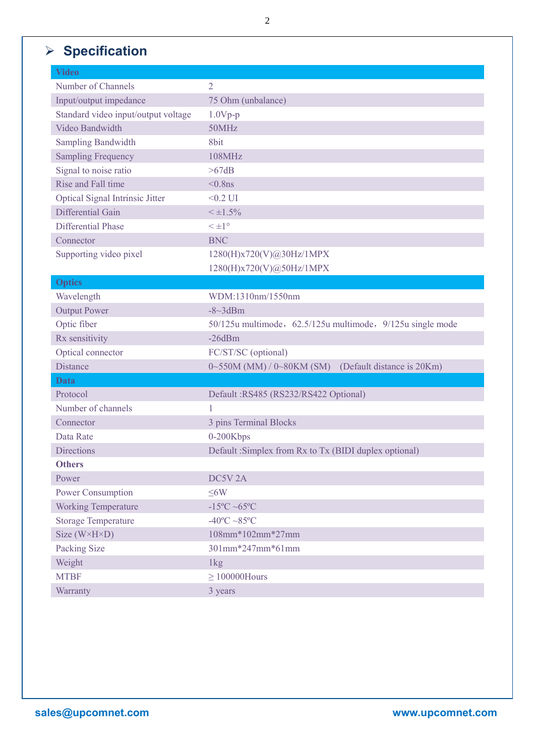# ➢ **Specification**

| <b>Video</b>                        |                                                                     |
|-------------------------------------|---------------------------------------------------------------------|
| Number of Channels                  | $\overline{2}$                                                      |
| Input/output impedance              | 75 Ohm (unbalance)                                                  |
| Standard video input/output voltage | $1.0Vp-p$                                                           |
| Video Bandwidth                     | 50MHz                                                               |
| <b>Sampling Bandwidth</b>           | 8bit                                                                |
| <b>Sampling Frequency</b>           | 108MHz                                                              |
| Signal to noise ratio               | >67dB                                                               |
| Rise and Fall time                  | $< 0.8$ ns                                                          |
| Optical Signal Intrinsic Jitter     | $<0.2$ UI                                                           |
| Differential Gain                   | $< \pm 1.5\%$                                                       |
| <b>Differential Phase</b>           | $\leq \pm 1^{\circ}$                                                |
| Connector                           | <b>BNC</b>                                                          |
| Supporting video pixel              | 1280(H)x720(V)@30Hz/1MPX                                            |
|                                     | 1280(H)x720(V)@50Hz/1MPX                                            |
| <b>Optics</b>                       |                                                                     |
| Wavelength                          | WDM:1310nm/1550nm                                                   |
| <b>Output Power</b>                 | $-8$ ~3dBm                                                          |
| Optic fiber                         | 50/125u multimode, 62.5/125u multimode, 9/125u single mode          |
| Rx sensitivity                      | $-26dBm$                                                            |
| Optical connector                   | FC/ST/SC (optional)                                                 |
| <b>Distance</b>                     | (Default distance is 20Km)<br>$0\sim 550M$ (MM) / $0\sim 80KM$ (SM) |
| Data                                |                                                                     |
| Protocol                            | Default: RS485 (RS232/RS422 Optional)                               |
| Number of channels                  | 1                                                                   |
| Connector                           | 3 pins Terminal Blocks                                              |
| Data Rate                           | 0-200Kbps                                                           |
| <b>Directions</b>                   | Default : Simplex from Rx to Tx (BIDI duplex optional)              |
| <b>Others</b>                       |                                                                     |
| Power                               | DC5V <sub>2A</sub>                                                  |
| Power Consumption                   | $\leq$ 6W                                                           |
| <b>Working Temperature</b>          | $-15^{\circ}$ C ~65 $^{\circ}$ C                                    |
| <b>Storage Temperature</b>          | $-40^{\circ}$ C $\sim$ 85 $^{\circ}$ C                              |
| Size $(W \times H \times D)$        | 108mm*102mm*27mm                                                    |
| Packing Size                        | 301mm*247mm*61mm                                                    |
| Weight                              | $1\text{kg}$                                                        |
| <b>MTBF</b>                         | $\geq 100000$ Hours                                                 |
| Warranty                            | 3 years                                                             |